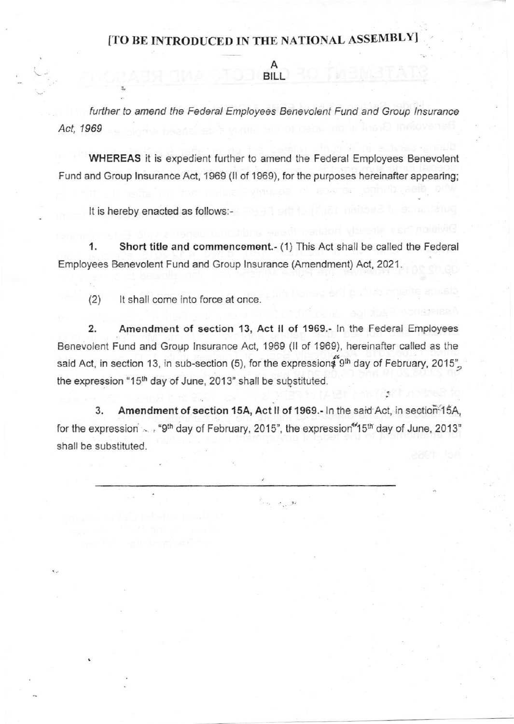## [TO BE INTRODUCED IN THE NATIONAL ASSEMBLY

A BILL

further to amend the Federal Employees Benevolent Fund and Group Insurance Act. 1969

WHEREAS it is expedient further to amend the Federal Employees Benevolent Fund and Group Insurance Act, 1969 (II of 1969), for the purposes hereinafter appearing;

It is hereby enacted as follows:-

1. Short title and commencement.- (1) This Act shall be called the Federal Employees Benevolent Fund and Group lnsurance (Amendment) Act, 2021.

(2) It shall come into force at once.

2. Amendment of section 13, Act ll of 1969.- ln the Federal Employees Benevolent Fund and Group lnsurance Act, 1969 (ll of 1969), hereinafter called as the said Act, in section 13, in sub-section (5), for the expression  $$9<sup>th</sup>$  day of February, 2015" the expression "15<sup>th</sup> day of June, 2013" shall be substituted.

3. Amendment of section 15A, Act II of 1969.- In the said Act, in section-15A, for the expression  $\sim$ , "9<sup>th</sup> day of February, 2015", the expression<sup>4</sup>15<sup>th</sup> day of June, 2013" shall be substituted.

್ಲಿ <sub>ನ</sub>\_ಖ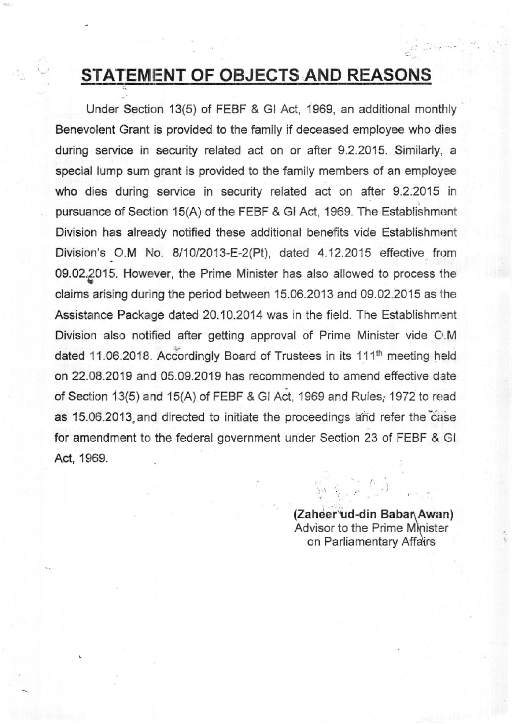## STATEMENT OF OBJECTS AND REASONS

Under Section 13(5) of FEBF & GI Act, 1969, an additional monthly Benevolent Grant is provided to the family if deceased employee who dies during service in security related act on or after 9.2.2015. Similarly, a special lump sum grant is provided to the family members of an employee who dies during service in security related act on after 9.2.2015 in pursuance of Section 15(A) of the FEBF & GI Act, 1969. The Establishment Division has already notified these additional benefits vide Establishment Division's O.M No. 8/10/2013-E-2(Pt), dated 4.12.2015 effective from 09.02.9015. However, the Prime Minister has also allowed to process the claims arising during the period between 15.06.2013 and 09.02.2015 as the Assistance Package dated 20.10.2014 was in the field. The Establishment Division also notified after getting approval of Prime Minister vide O.M. dated 11.06.2018. Accordingly Board of Trustees in its 111<sup>th</sup> meeting held on 22.08.2019 and 05.09.2019 has recommended to amend effective date of Section 13(5) and 15(A) of FEBF & GI Act, 1969 and Rules; 1972 to read as 15.06.2013.and directed to initiate the proceedings ahd refer the'case for amendment to the federal government under Section 23 of FEBF & Gl Act, 1969.

> (Zaheer ud-din Babar Awan) Advisor to the Prime Minister on Parliamentary Affa\rs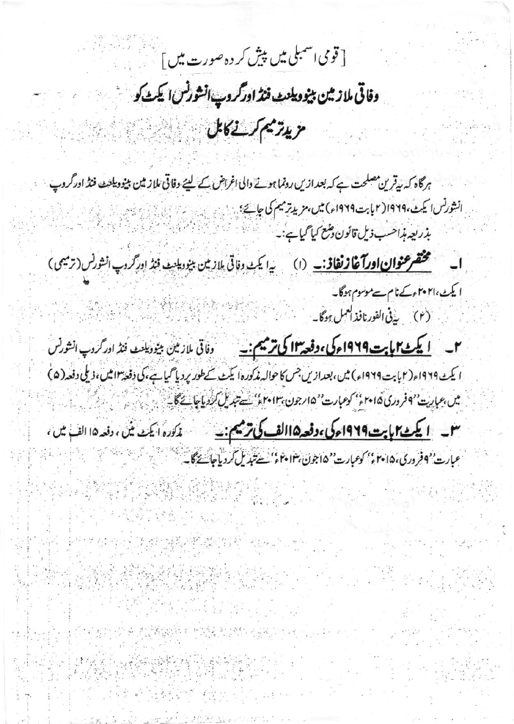[قومی اسمبلی میں پیش کر دہ صورت میں ] مسیحہ میں<br>ا

وفاقى ملازيين بينوويلنٹ فنڈ اورگروپ انشورنس ايکٹ کو

ويدريم كرسان كانال المستنبي المتعادلات

ہرگاہ کہ بیقرین مصلحت ہے کہ بعد ازیں رونما ہونے والی اغراض کے لیئے وفاقی ملاز مین بینود یکنٹ فنڈ اور گروپ انشورنس اليكث،١٩٦٩ (٢ بابت ١٩٦٩م) ميں مزيد ترميم كى جانچ : يہ است اللہ اللہ اللہ اللہ اللہ اللہ اللہ <u>Kajiwiki Ka</u>ndar بذريعه بذاحب ذيل قانون وشع كيا كيا ہے:۔ ا مستخ<mark>ضرعنوان اورآغاز نفاذ: \_</mark> (ا) سے ایک دفاتی بلازمین بینود بادید فنڈ اور گروپ انشونس (ترمیمی) ایکٹ،۲۰۲۱ءکےنام سےموسوم ہوگا۔ . (٢) يذفى الفورنافذ العمل ہوگا۔ م \_\_\_\_ <u>ال**یک می ایت ۱۹۶۹ء کی ، دفعه ۱۳ کی ترمیم :** \_\_\_\_\_\_\_ دفاتی ملازمین بینود یلنٹ فنڈ اور گروپ انشورنس</u> ا یکٹ ۱۹۲۹ء(۲بابت ۱۹۲۹ء) میں، بعدازیں جس کا حوالہ مذکورہ ایکٹ کے طور پر دیا گیا ہے، کی دفعہ ۱۳ میں، ذیلی دفعہ(۵) میں،عبارت ''افروری 6ام میں کوعبارت'' ۱۵؍جون،۱۳ میں سے تبدیل کردیاجاتے گا۔ میں جب کے میں ایک کارون کے ایک میں ا سل \_ <mark>ایکٹ میل ہت1949ء کی ،وفعہ ۱۵الف کی ترمیم : \_</mark> \_ \_ \_ \_ مذکورہ ایکٹ میں ، دفعہ ۱۵ الف میں ، عبارت بهجو ورى،١٥ ٢٠ كوعبارت "١٥ جون،١٣ ٢٠ كم سيتبديل كروياجاستة كالية المستخدمة المستخدمة المستخدمة